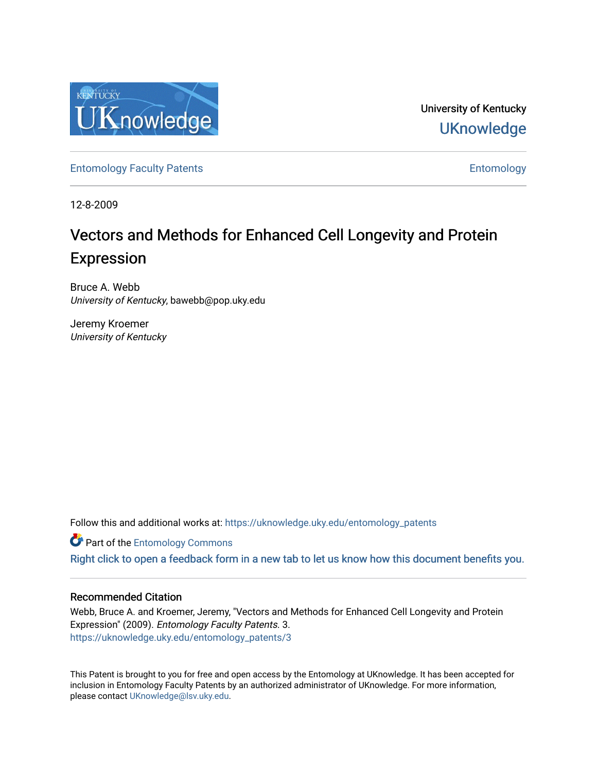

University of Kentucky **UKnowledge** 

[Entomology Faculty Patents](https://uknowledge.uky.edu/entomology_patents) **Entomology** 

12-8-2009

# Vectors and Methods for Enhanced Cell Longevity and Protein Expression

Bruce A. Webb University of Kentucky, bawebb@pop.uky.edu

Jeremy Kroemer University of Kentucky

Follow this and additional works at: [https://uknowledge.uky.edu/entomology\\_patents](https://uknowledge.uky.edu/entomology_patents?utm_source=uknowledge.uky.edu%2Fentomology_patents%2F3&utm_medium=PDF&utm_campaign=PDFCoverPages)

**Part of the Entomology Commons** 

[Right click to open a feedback form in a new tab to let us know how this document benefits you.](https://uky.az1.qualtrics.com/jfe/form/SV_9mq8fx2GnONRfz7)

# Recommended Citation

Webb, Bruce A. and Kroemer, Jeremy, "Vectors and Methods for Enhanced Cell Longevity and Protein Expression" (2009). Entomology Faculty Patents. 3. [https://uknowledge.uky.edu/entomology\\_patents/3](https://uknowledge.uky.edu/entomology_patents/3?utm_source=uknowledge.uky.edu%2Fentomology_patents%2F3&utm_medium=PDF&utm_campaign=PDFCoverPages) 

This Patent is brought to you for free and open access by the Entomology at UKnowledge. It has been accepted for inclusion in Entomology Faculty Patents by an authorized administrator of UKnowledge. For more information, please contact [UKnowledge@lsv.uky.edu.](mailto:UKnowledge@lsv.uky.edu)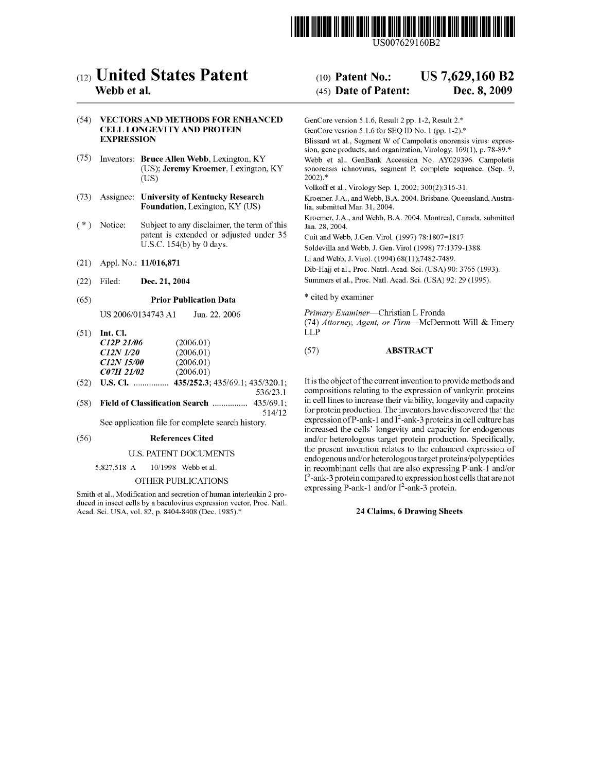

US007629160B2

# c12) United States Patent

## Webb et al.

### (54) VECTORS AND METHODS FOR ENHANCED CELL LONGEVITY AND PROTEIN EXPRESSION

- (75) Inventors: Bruce Allen Webb, Lexington, KY (US); Jeremy Kroemer, Lexington, KY (US)
- (73) Assignee: University of Kentucky Research Foundation, Lexington, KY (US)
- ( \*) Notice: Subject to any disclaimer, the term of this patent is extended or adjusted under 35 U.S.C. 154(b) by 0 days.
- (21) Appl. No.: 11/016,871
- (22) Filed: Dec. 21, 2004

#### (65) Prior Publication Data

US 2006/0134743 Al Jun.22,2006

- (51) Int. Cl. *C12P 21106 C12N 1120 C12N 15100 C07H 21102*  (2006.01) (2006.01) (2006.01) (2006.01)
- (52) U.S. Cl. ............... . 435/252.3; 435/69.1; 435/320.1; 536/23.1
- (58) Field of Classification Search ................ 435/69.1; 514/12 See application file for complete search history.

#### (56) References Cited

#### U.S. PATENT DOCUMENTS

#### 5,827,518 A 10/1998 Webb et al.

#### OTHER PUBLICATIONS

Smith et al., Modification and secretion of human interleukin 2 produced in insect cells by a baculovirus expression vector, Proc. Nat!. Acad. Sci. USA, vol. 82, p. 8404-8408 (Dec. 1985).\*

#### (10) Patent No.: US 7,629,160 B2

#### (45) Date of Patent: Dec. 8, 2009

GenCore version 5.1.6, Result 2 pp. 1-2, Result 2.\*

GenCore vesrion 5.1.6 for SEQ ID No. 1 (pp. 1-2).\* Blissard wt a!., Segment W of Campoletis onorensis virus: expression, gene products, and organization, Virology, 169(1), p. 78-89.\* Webb et a!., GenBank Accession No. AY029396. Campoletis sonorensis ichnovirus, segment P, complete sequence. (Sep. 9, 2002).\*

Volkoff et al., Virology Sep. 1, 2002; 300(2):316-31.

Kroemer. J.A., and Webb, B.A. 2004. Brisbane, Queensland, Australia, submitted Mar. 31, 2004.

Kroemer, J.A., and Webb, B.A. 2004. Montreal, Canada, submitted Jan. 28, 2004.

Cuit and Webb, J.Gen. Virol. (1997) 78:1807=1817.

Soldevilla and Webb, J. Gen. Virol (1998) 77:1379-1388.

Li and Webb, J. Virol. (1994) 68(11);7482-7489.

Dib-Hajj et al., Proc. Natrl. Acad. Soi. (USA) 90: 3765 (1993).

Summers et al., Proc. Natl. Acad. Sci. (USA) 92: 29 (1995).

\* cited by examiner

*Primary Examiner-Christian* L Fronda (74) *Attorney, Agent, or Firm-McDermott* Will & Emery LLP

#### (57) ABSTRACT

It is the object of the current invention to provide methods and compositions relating to the expression of vankyrin proteins in cell lines to increase their viability, longevity and capacity for protein production. The inventors have discovered that the expression of P-ank-1 and  $I^2$ -ank-3 proteins in cell culture has increased the cells' longevity and capacity for endogenous and/or heterologous target protein production. Specifically, the present invention relates to the enhanced expression of endogenous and/or heterologous target proteins/polypeptides in recombinant cells that are also expressing P-ank-1 and/or I 2 -ank-3 protein compared to expression host cells that are not expressing P-ank-1 and/or  $I^2$ -ank-3 protein.

#### 24 Claims, 6 Drawing Sheets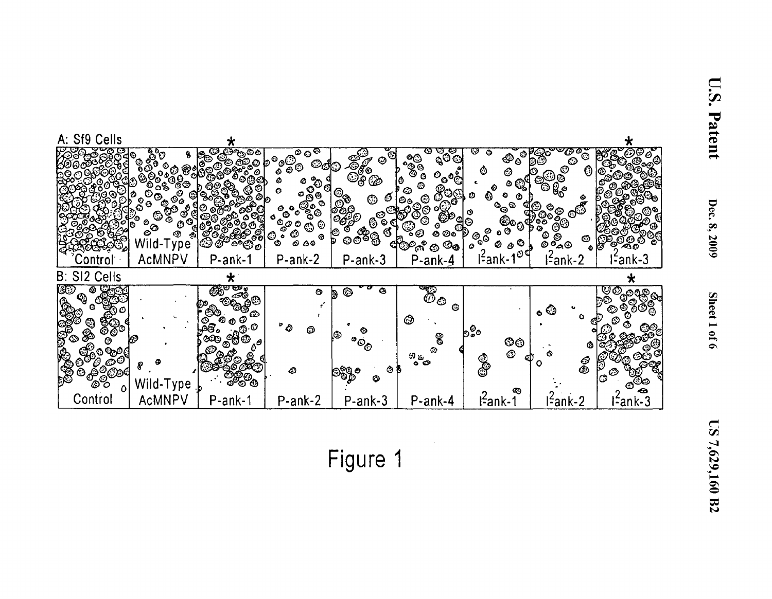

reet 1

0 **1** و

Dec.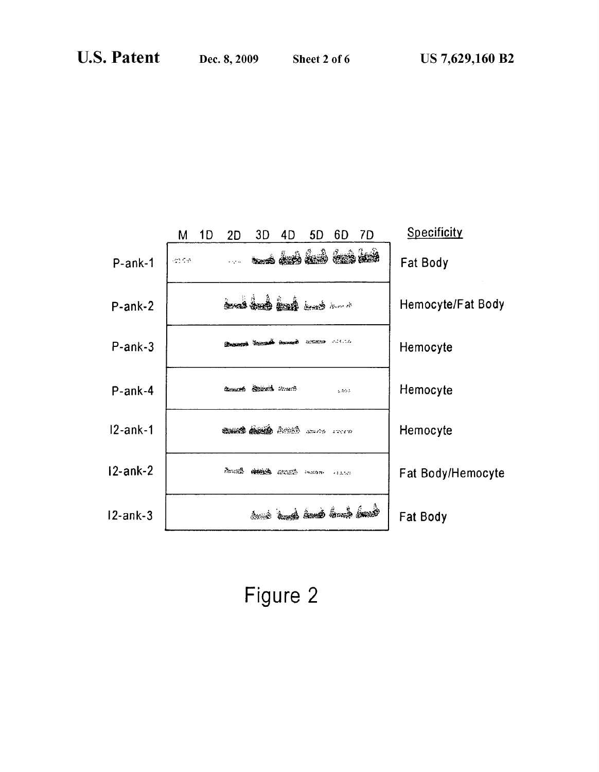|             | М                                       | 1D | 2D | 3D                                          | 4D | 5D                 | 6D      | 7D | Specificity       |
|-------------|-----------------------------------------|----|----|---------------------------------------------|----|--------------------|---------|----|-------------------|
| $P-ank-1$   | $\mathcal{L}^{\text{max}}_{\text{max}}$ |    |    | <u>na as as as as as</u>                    |    |                    |         |    | Fat Body          |
| $P-ank-2$   |                                         |    |    | مسن في في في في                             |    |                    |         |    | Hemocyte/Fat Body |
| $P-ank-3$   |                                         |    |    | <b>Ensures Secondi assure access visito</b> |    |                    |         |    | Hemocyte          |
| $P-ank-4$   |                                         |    |    | County Reveal much                          |    |                    | 2455    |    | Hemocyte          |
| $12$ -ank-1 |                                         |    |    |                                             |    |                    |         |    | Hemocyte          |
| $12$ -ank-2 |                                         |    |    | Annab annab ann an a-mailte                 |    |                    | 332,523 |    | Fat Body/Hemocyte |
| $12$ -ank-3 |                                         |    |    |                                             |    | فسأهمأ فسأفسط فيبا |         |    | Fat Body          |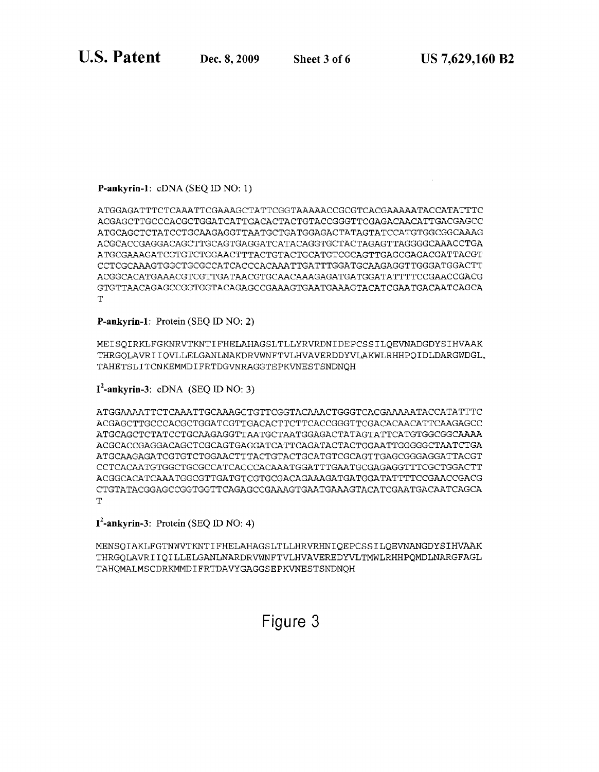# **P-ankyrin-1:** eDNA (SEQ ID NO: 1)

ATGGAGATTTCTCAAATTCGAAAGCTATTCGGTAAAAACCGCGTCACGAAAAATACCATATTTC ACGAGCTTGCCCACGCTGGATCATTGACACTACTGTACCGGGTTCGAGACAACATTGACGAGCC ATGCAGCTCTATCCTGCAAGAGGTTAATGCTGATGGAGACTATAGTATCCATGTG~CGGCAAAG ACGCACCGAGGACAGCTTGCAGTGAGGATCATACAGGTGCTACTAGAGTTAGGGGCAAACCTGA ATGCGAAAGATCGTGTCTGGAACTTTACTGTACTGCATGTCGCAGTTGAGCGAGACGATTACGT CCTCGCAAAGTGGCTGCGCCATCACCCACAAATTGATTTGGATGCAAGAGGTTGGGATGGACTT ACGGCACATGAAACGTCGTTGATAACGTGCAACAAAGAGATGATGGATATTTTCCGAACCGACG GTGTTAACAGAGCCGGTGGTACAGAGCCGAAAGTGAATGAAAGTACATCGAATGACAATCAGCA  $\mathbf{T}$ 

**P-ankyrin-1:** Protein (SEQ ID NO: 2)

MEISQIRKLFGKNRVTKNTIFHELAHAGSLTLLYRVRDNIDEPCSSILQEVNADGDYSIHVAAK THRGQLAVRIIQVLLELGANLNAKDRVWNFTVLHVAVERDDYVLAKWLRHHPQIDLDARGWDGL. TAHETSLITCNKEMMDIFRTDGVNRAGGTEPKVNESTSNDNQH

**1 2 -ankyrin-3:** eDNA (SEQ ID NO: 3)

ATGGAAAATTCTCAAATTGCAAAGCTGTTCGGTACAAACTGGGTCACGAAAAATACCATATTTC ACGAGCTTGCCCACGCTGGATCGTTGACACTTCTTCACCGGGTTCGACACAACATTCAAGAGCC ATGCAGCTCTATCCTGCAAGAGGTTAATGCTAATGGAGACTATAGTATTCATGTGGCGGCAAAA ACGCACCGAGGACAGCTCGCAGTGAGGATCATTCAGATACTACTGGAATTGGGGGCTAATCTGA ATGCAAGAGATCGTGTCTGGAACTTTACTGTACTGCATGTCGCAGTTGAGCGGGAGGATTACGT CCTCACAATGTGGCTGCGCCATCACCCACAAATGGATTTGAATGCGAGAGGTTTCGCTGGACTT ACGGCACATCAAATGGCGTTGATGTCGTGCGACAGAAAGATGATGGATATTTTCCGAACCGACG CTGTATACGGAGCCGGTGGTTCAGAGCCGAAAGTGAATGAAAGTACATCGAATGACAATCAGCA  $\mathbf{T}$ 

**1 2 -ankyrin-3:** Protein (SEQ ID NO: 4)

MENSQIAKLFGTNWVTKNTIFHELAHAGSLTLLHRVRHNIQEPCSSILQEVNANGDYSIHVAAK THRGQLAVRIIQILLELGANLNARDRVWNFTVLHVAVEREDYVLTMWLRHHPQMDLNARGFAGL TAHQMALMSCDRKMMDIFRTDAVYGAGGSEPKVNESTSNDNQH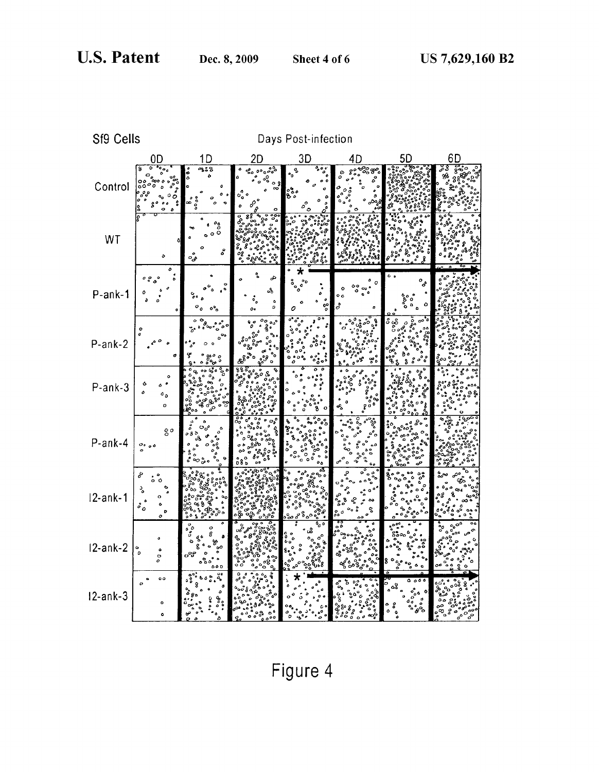| Sf9 Cells   |                                                   |                                                         |                     | Days Post-infection                                             |                                 |                                                  |        |
|-------------|---------------------------------------------------|---------------------------------------------------------|---------------------|-----------------------------------------------------------------|---------------------------------|--------------------------------------------------|--------|
|             | 0D                                                | 1D                                                      | 2D                  | 3D                                                              | 4D                              | 5D                                               | 6D     |
| Control     | 75<br>้8<br>O<br>٥                                | $\overline{a}$<br>0<br>$^{\circ}$<br>$\frac{8}{9}$<br>œ | ٥<br>و ه<br>۰õ<br>o | ه ه ۹<br>o,<br>$\bullet$<br>ಣಿಂ                                 | ۰,<br>ô                         |                                                  | နိုင်္ |
| WT          | ٥                                                 | $\int_{0}^{\infty}$<br>å<br>ه<br>مئ                     | ಔ                   |                                                                 |                                 |                                                  |        |
| P-ank-1     | ٥<br>0.000<br>Ó                                   | $\circ$ °0<br>Δ                                         | م<br>აზ<br>۰<br>D   | ٥<br>$\boldsymbol{q}$<br>$\mathbf{e}_{\mathbf{p}}^{\mathbf{p}}$ | o c<br>$\mathring{\sigma}$<br>o | $\circ_{\circ}$<br>ە                             |        |
| $P-ank-2$   |                                                   | o<br>g                                                  | ٥٥<br>లచి           | ٥<br>ំ                                                          | ૺૺ૰ૢ૾<br>ೢ                      | $\overline{\mathfrak{o}^{\bullet} \mathfrak{o}}$ |        |
| P-ank-3     | ¢<br>ò<br>$\mathfrak{o}_\mathfrak{o}$<br>o        |                                                         |                     | $\overline{a}$                                                  | Ž                               |                                                  |        |
| P-ank-4     | go<br>$\frac{0}{a}$ 00                            |                                                         |                     | $\mathfrak{o}_\mathfrak{o}$                                     |                                 |                                                  | ៓៓៓    |
| $12$ -ank-1 | S<br>ډ<br>$\ddot{\delta}$<br>¢<br>Ð<br>$\circ$    |                                                         |                     |                                                                 |                                 |                                                  |        |
| $12$ -ank-2 | $\circ$<br>$\bullet$<br>$\circ$                   | ిన్<br>60 D                                             |                     |                                                                 | ٥Ò                              |                                                  |        |
| $12$ -ank-3 | $\circ$<br>$\overline{a}$<br>$\circ$<br>$\bullet$ |                                                         |                     |                                                                 | $\ddot{\phantom{a}}$            | 000<br>۰<br>$\frac{1}{\alpha}$                   |        |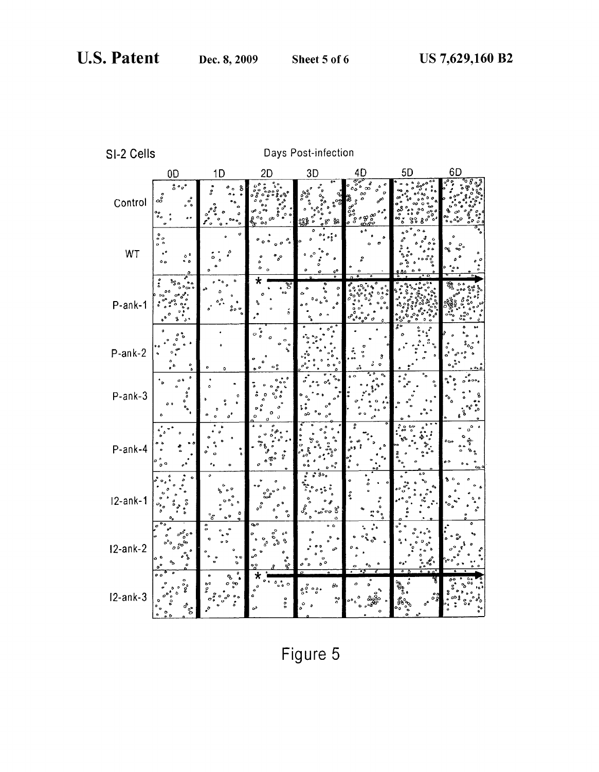|  | SI-2 Cells |
|--|------------|
|--|------------|

Days Post-infection

|             | 0D                                                                                                                     | 1D                                             | 2D                                                                                              | 3D                                                                                                                               | 4D                                                | 5D | 6D              |
|-------------|------------------------------------------------------------------------------------------------------------------------|------------------------------------------------|-------------------------------------------------------------------------------------------------|----------------------------------------------------------------------------------------------------------------------------------|---------------------------------------------------|----|-----------------|
| Control     | $^{\circ}_{\circ}$ $^{\circ}_{\circ}$<br>နီ<br>$\circ \circ$<br>$\overset{\mathbf{o}}{\circ}_{\mathbf{o}}$<br>ه ه<br>o | 8<br>٥<br>$\bullet$                            | o<br>۰۰<br>οō<br>$\circ$                                                                        | $\zeta^{\alpha}$<br>28.B<br>go Ya                                                                                                | 8<br>ó<br>$\overline{a}$<br>နစ္ဆစ္စ<br>$\epsilon$ |    | ٥.              |
| WT          | $\stackrel{\bullet}{\circ}$<br>$\bullet$<br>$\mathbf{o}$<br>0 <sup>0</sup><br>$\circ$<br>$^{\circ}$                    |                                                |                                                                                                 | ٥o<br>-                                                                                                                          |                                                   |    |                 |
| P-ank-1     | ٥<br>o c<br>$\mathbf{A}$                                                                                               |                                                | ष्ट<br>٥ò<br>ð                                                                                  | $\circ$                                                                                                                          |                                                   |    | 6               |
| $P-ank-2$   | ٥<br>۰<br>$\scriptstyle\bullet$ $\scriptstyle\delta$<br>a                                                              | o<br>o                                         | ۵<br>$\circ$ $\stackrel{\circ}{\circ}$<br>o<br>ዔ                                                |                                                                                                                                  | 3<br>$\ddot{\mathbf{0}}$                          |    |                 |
| $P-ank-3$   | ه ه<br>، م                                                                                                             |                                                | ō<br>o                                                                                          | $\bullet$<br><sub>0</sub> 0                                                                                                      |                                                   |    | $\bullet \circ$ |
| P-ank-4     | $\Omega$                                                                                                               | o                                              | å                                                                                               |                                                                                                                                  |                                                   |    | ەرە<br>፟<br>o o |
| $12$ -ank-1 | $\mathcal{O}_{\delta_{\mathcal{O}}}$                                                                                   | $\bullet$<br>,                                 | b                                                                                               | 3٥.<br>ಕ್ಕೆ<br>చించి<br>b                                                                                                        | $\delta$                                          |    |                 |
| $12-ank-2$  | ೲೢಁಁಁ<br>ა ბ<br>$\mathbf{a}$<br>۰                                                                                      | o<br>O<br>υc<br>Ó<br>۰                         | ٩o                                                                                              | $\bullet$ $\bullet$<br>ď                                                                                                         |                                                   |    |                 |
| $12$ -ank-3 | $\bullet$ $\circ$<br>ိႏ<br>ိ                                                                                           | ٩<br>60<br>۰<br>$\frac{5}{2}$<br>$\frac{1}{2}$ | $^{\circ}$ $^{\circ}$ $\circ$<br>ò<br>$\begin{smallmatrix} 0 \\ 0 \\ 0 \end{smallmatrix}$<br>ەە | $\theta$<br>$\overset{\circ}{\circ} \overset{\circ}{\circ} \overset{\circ}{\circ} \overset{\circ}{\circ}$<br>$_{\alpha}^{\circ}$ | o                                                 | g, |                 |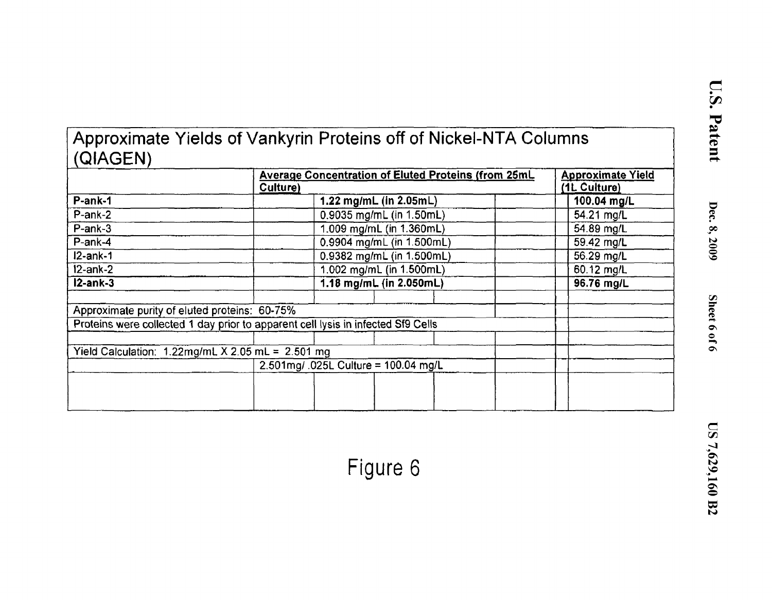|          | Approximate Yields of Vankyrin Proteins off of Nickel-NTA Columns |  |
|----------|-------------------------------------------------------------------|--|
| (QIAGEN) |                                                                   |  |
|          |                                                                   |  |

|                                                      | <b>Average Concentration of Eluted Proteins (from 25mL</b><br>Culture)           | <b>Approximate Yield</b><br>(1L Culture) |
|------------------------------------------------------|----------------------------------------------------------------------------------|------------------------------------------|
| P-ank-1                                              | 1.22 mg/mL (in 2.05mL)                                                           | 100.04 mg/L                              |
| P-ank-2                                              | 0.9035 mg/mL (in 1.50mL)                                                         | 54.21 mg/L                               |
| $P-ank-3$                                            | 1.009 mg/mL (in 1.360mL)                                                         | 54.89 mg/L                               |
| P-ank-4                                              | 0.9904 mg/mL (in 1.500mL)                                                        | 59.42 mg/L                               |
| $12$ -ank-1                                          | 0.9382 mg/mL (in 1.500mL)                                                        | 56.29 mg/L                               |
| $12$ -ank-2                                          | 1.002 mg/mL (in 1.500mL)                                                         | 60.12 mg/L                               |
| $12-ank-3$                                           | 1.18 mg/mL (in 2.050mL)                                                          | 96.76 mg/L                               |
|                                                      |                                                                                  |                                          |
| Approximate purity of eluted proteins: 60-75%        |                                                                                  |                                          |
|                                                      | Proteins were collected 1 day prior to apparent cell lysis in infected Sf9 Cells |                                          |
|                                                      |                                                                                  |                                          |
| Yield Calculation: $1.22$ mg/mL X 2.05 mL = 2.501 mg |                                                                                  |                                          |
|                                                      | 2.501mg/ .025L Culture = 100.04 mg/L                                             |                                          |
|                                                      |                                                                                  |                                          |
|                                                      |                                                                                  |                                          |
|                                                      |                                                                                  |                                          |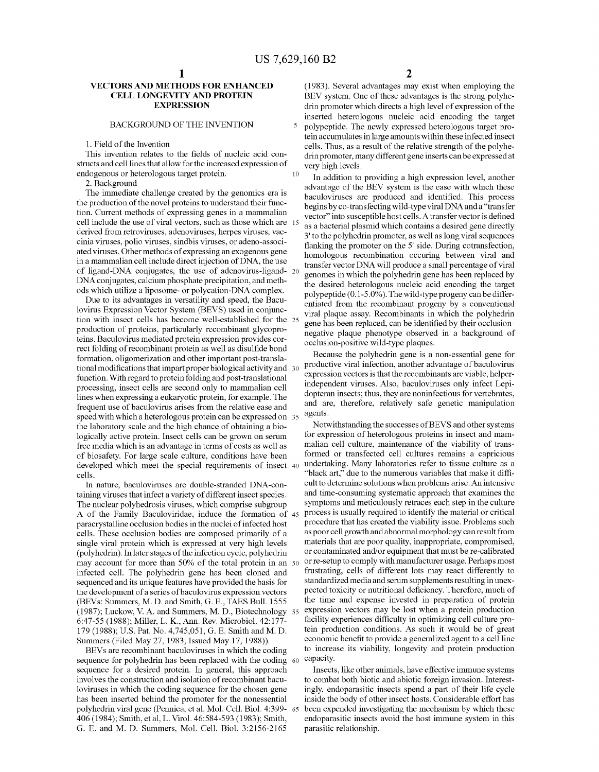10

5

#### **VECTORS AND METHODS FOR ENHANCED CELL LONGEVITY AND PROTEIN EXPRESSION**

### BACKGROUND OF THE INVENTION

1. Field of the Invention

This invention relates to the fields of nucleic acid constructs and cell lines that allow for the increased expression of endogenous or heterologous target protein.

2. Background

The immediate challenge created by the genomics era is the production of the novel proteins to understand their function. Current methods of expressing genes in a mammalian cell include the use of viral vectors, such as those which are 15 derived from retroviruses, adenoviruses, herpes viruses, vaccinia viruses, polio viruses, sindbis viruses, or adena-associated viruses. Other methods of expressing an exogenous gene in a mammalian cell include direct injection of DNA, the use of ligand-DNA conjugates, the use of adenovirus-ligand- <sup>20</sup> DNA conjugates, calcium phosphate precipitation, and methods which utilize a liposome- or polycation-DNA complex.

Due to its advantages in versatility and speed, the Baculovirus Expression Vector System (BEYS) used in conjunction with insect cells has become well-established for the 25 production of proteins, particularly recombinant glycoproteins. Baculovirus mediated protein expression provides correct folding of recombinant protein as well as disulfide bond formation, oligomerization and other important post-translational modifications that impart proper biological activity and 30 function. With regard to protein folding and post-translational processing, insect cells are second only to mammalian cell lines when expressing a eukaryotic protein, for example. The frequent use of baculovirus arises from the relative ease and speed with which a heterologous protein can be expressed on 35 the laboratory scale and the high chance of obtaining a biologically active protein. Insect cells can be grown on serum free media which is an advantage in terms of costs as well as of biosafety. For large scale culture, conditions have been developed which meet the special requirements of insect 40 cells.

In nature, baculoviruses are double-stranded DNA-containing viruses that infect a variety of different insect species. The nuclear polyhedrosis viruses, which comprise subgroup A of the Family Baculoviridae, induce the formation of paracrystalline occlusion bodies in the nuclei of infected host cells. These occlusion bodies are composed primarily of a single viral protein which is expressed at very high levels (polyhedrin). In later stages of the infection cycle, polyhedrin may account for more than 50% of the total protein in an infected cell. The polyhedrin gene has been cloned and sequenced and its unique features have provided the basis for the development of a series of baculovirus expression vectors (BEYs: Summers, M.D. and Smith, G. E., TAES Bull. 1555 (1987); Luckow, V. A. and Summers, M. D., Biotechnology 55 6:47-55 (1988); Miller, L. K., Ann. Rev. Microbial. 42:177- 179 (1988); U.S. Pat. No. 4,745,051, G. E. Smith and M.D. Summers (Filed May 27, 1983; Issued May 17, 1988)).

sequence for polyhedrin has been replaced with the coding 60 sequence for a desired protein. In general, this approach involves the construction and isolation of recombinant baculoviruses in which the coding sequence for the chosen gene has been inserted behind the promoter for the nonessential polyhedrin viral gene (Pennica, et al, Mol. Cell. Biol. 4:399- 65 406 (1984); Smith, et al, L. Virol. 46:584-593 (1983); Smith, G. E. and M. D. Summers, Mol. Cell. Biol. 3:2156-2165 parasitic relationship.

(1983). Several advantages may exist when employing the BEY system. One of these advantages is the strong polyhedrin promoter which directs a high level of expression of the inserted heterologous nucleic acid encoding the target polypeptide. The newly expressed heterologous target protein accumulates in large amounts within these infected insect cells. Thus, as a result of the relative strength of the polyhedrin promoter, many different gene inserts can be expressed at very high levels.

In addition to providing a high expression level, another advantage of the BEY system is the ease with which these baculoviruses are produced and identified. This process begins by co-transfecting wild -type viral DNA and a "transfer vector" into susceptible host cells. A transfer vector is defined as a bacterial plasmid which contains a desired gene directly 3' to the polyhedrin promoter, as well as long viral sequences flanking the promoter on the 5' side. During cotransfection, homologous recombination occuring between viral and transfer vector DNA will produce a small percentage of viral genomes in which the polyhedrin gene has been replaced by the desired heterologous nucleic acid encoding the target polypeptide (0.1-5.0% ). The wild-type progeny can be differentiated from the recombinant progeny by a conventional viral plaque assay. Recombinants in which the polyhedrin gene has been replaced, can be identified by their occlusionnegative plaque phenotype observed in a background of occlusion-positive wild-type plaques.

Because the polyhedrin gene is a non-essential gene for productive viral infection, another advantage of baculovirus expression vectors is that the recombinants are viable, helperindependent viruses. Also, baculoviruses only infect Lepidopteran insects; thus, they are noninfectious for vertebrates, and are, therefore, relatively safe genetic manipulation agents.

Notwithstanding the successes of BEYS and other systems for expression of heterologous proteins in insect and mammalian cell culture, maintenance of the viability of transformed or transfected cell cultures remains a capricious undertaking. Many laboratories refer to tissue culture as a "black art," due to the numerous variables that make it difficult to determine solutions when problems arise. An intensive and time-consuming systematic approach that examines the symptoms and meticulously retraces each step in the culture process is usually required to identify the material or critical procedure that has created the viability issue. Problems such as poor cell growth and abnormal morphology can result from materials that are poor quality, inappropriate, compromised, or contaminated and/or equipment that must be re-calibrated or re-setup to comply with manufacturer usage. Perhaps most frustrating, cells of different lots may react differently to standardized media and serum supplements resulting in unexpected toxicity or nutritional deficiency. Therefore, much of the time and expense invested in preparation of protein expression vectors may be lost when a protein production facility experiences difficulty in optimizing cell culture protein production conditions. As such it would be of great economic benefit to provide a generalized agent to a cell line BEVs are recombinant baculoviruses in which the coding to increase its viability, longevity and protein production capacity.

> Insects, like other animals, have effective immune systems to combat both biotic and abiotic foreign invasion. Interestingly, endoparasitic insects spend a part of their life cycle inside the body of other insect hosts. Considerable effort has been expended investigating the mechanism by which these endoparasitic insects avoid the host immune system in this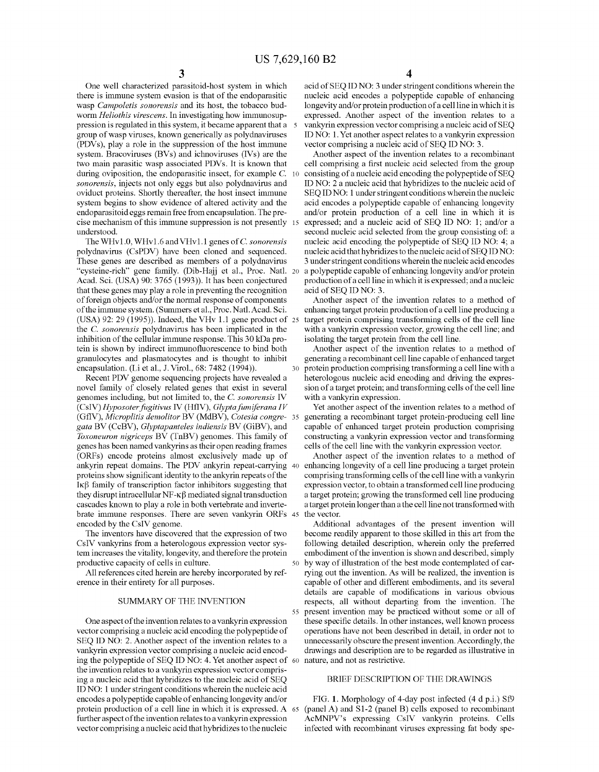One well characterized parasitoid-host system in which there is immune system evasion is that of the endoparasitic wasp *Campoletis sonorensis* and its host, the tobacco budworm *Heliothis virescens.* In investigating how immunosuppression is regulated in this system, it became apparent that a group of wasp viruses, known generically as polydnaviruses (PDVs), play a role in the suppression of the host immune system. Bracoviruses (BVs) and ichnoviruses (IVs) are the two main parasitic wasp associated PDVs. It is known that during oviposition, the endoparasitic insect, for example C. 10 *sonorensis,* injects not only eggs but also polydnavirus and oviduct proteins. Shortly thereafter, the host insect immune system begins to show evidence of altered activity and the endoparasitoid eggs remain free from encapsulation. The precise mechanism of this immune suppression is not presently 15 understood.

The WHv1.0, WHv1.6 and VHv1.1 genes of C. *sonorensis*  polydnavirus (CsPDV) have been cloned and sequenced. These genes are described as members of a polydnavirus "cysteine-rich" gene family. (Dib-Hajj et a!., Proc. Nat!. 20 Acad. Sci. (USA) 90: 3765 (1993)). It has been conjectured that these genes may play a role in preventing the recognition of foreign objects and/or the normal response of components of the immune system. (Summers et al., Proc. Natl. Acad. Sci. (USA) 92: 29 (1995)). Indeed, the VHv 1.1 gene product of 25 the C. *sonorensis* polydnavirus has been implicated in the inhibition of the cellular immune response. This 30 kDa protein is shown by indirect immunofluorescence to bind both granulocytes and plasmatocytes and is thought to inhibit encapsulation. (Li et al., J. Virol., 68: 7482 (1994)).

Recent PDV genome sequencing projects have revealed a novel family of closely related genes that exist in several genomes including, but not limited to, the C. *sonorensis* IV (CsiV) *Hyposoter fugitivus* IV (HfiV), *Glyptafumiferana IV*  (GfiV), *Microplitis demolitor* BV (MdBV), *Cotesia congre-* 35 *gata* BV (CcBV), *Glyptapanteles indiensis* BV (GiBV), and *Toxoneuron nigriceps* BV (TnBV) genomes. This family of genes has been named vankyrins as their open reading frames (ORFs) encode proteins almost exclusively made up of ankyrin repeat domains. The PDV ankyrin repeat-carrying 40 enhancing longevity of a cell line producing a target protein proteins show significant identity to the ankyrin repeats of the  $I\kappa\beta$  family of transcription factor inhibitors suggesting that they disrupt intracellular NF- $\kappa\beta$  mediated signal transduction cascades known to play a role in both vertebrate and invertebrate immune responses. There are seven vankyrin ORFs 45 encoded by the CsiV genome.

The inventors have discovered that the expression of two CsiV vankyrins from a heterologous expression vector system increases the vitality, longevity, and therefore the protein productive capacity of cells in culture.

All references cited herein are hereby incorporated by reference in their entirety for all purposes.

#### SUMMARY OF THE INVENTION

One aspect of the invention relates to a vankyrin expression vector comprising a nucleic acid encoding the polypeptide of SEQ ID NO: 2. Another aspect of the invention relates to a vankyrin expression vector comprising a nucleic acid encoding the polypeptide of SEQ ID NO: **4.** Yet another aspect of 60 nature, and not as restrictive. the invention relates to a vankyrin expression vector comprising a nucleic acid that hybridizes to the nucleic acid of SEQ ID NO: **1** under stringent conditions wherein the nucleic acid encodes a polypeptide capable of enhancing longevity and/or protein production of a cell line in which it is expressed. A 65 further aspect of the invention relates to a vankyrin expression vector comprising a nucleic acid that hybridizes to the nucleic

**4** 

acid of SEQ ID NO: 3 under stringent conditions wherein the nucleic acid encodes a polypeptide capable of enhancing longevity and/or protein production of a cell line in which it is expressed. Another aspect of the invention relates to a vankyrin expression vector comprising a nucleic acid of SEQ ID NO: **1.** Yet another aspect relates to a vankyrin expression vector comprising a nucleic acid of SEQ ID NO: 3.

Another aspect of the invention relates to a recombinant cell comprising a first nucleic acid selected from the group consisting of a nucleic acid encoding the polypeptide of SEQ ID NO: 2 a nucleic acid that hybridizes to the nucleic acid of SEQ ID NO: **1** under stringent conditions wherein the nucleic acid encodes a polypeptide capable of enhancing longevity and/or protein production of a cell line in which it is expressed; and a nucleic acid of SEQ ID NO: **1;** and/or a second nucleic acid selected from the group consisting of: a nucleic acid encoding the polypeptide of SEQ ID NO: **4;** a nucleic acid that hybridizes to the nucleic acid of SEQ ID NO: 3 under stringent conditions wherein the nucleic acid encodes a polypeptide capable of enhancing longevity and/or protein production of a cell line in which it is expressed; and a nucleic acid of SEQ ID NO: 3.

Another aspect of the invention relates to a method of enhancing target protein production of a cell line producing a target protein comprising transforming cells of the cell line with a vankyrin expression vector, growing the cell line; and isolating the target protein from the cell line.

Another aspect of the invention relates to a method of generating a recombinant cell line capable of enhanced target protein production comprising transforming a cell line with a heterologous nucleic acid encoding and driving the expression of a target protein; and transforming cells of the cell line with a vankyrin expression.

Yet another aspect of the invention relates to a method of generating a recombinant target protein-producing cell line capable of enhanced target protein production comprising constructing a vankyrin expression vector and transforming cells of the cell line with the vankyrin expression vector.

Another aspect of the invention relates to a method of comprising transforming cells of the cell line with a vankyrin expression vector, to obtain a transformed cell line producing a target protein; growing the transformed cell line producing a target protein longer than a the cell line not transformed with the vector.

Additional advantages of the present invention will become readily apparent to those skilled in this art from the following detailed description, wherein only the preferred embodiment of the invention is shown and described, simply by way of illustration of the best mode contemplated of carrying out the invention. As will be realized, the invention is capable of other and different embodiments, and its several details are capable of modifications in various obvious respects, all without departing from the invention. The 55 present invention may be practiced without some or all of these specific details. In other instances, well known process operations have not been described in detail, in order not to unnecessarily obscure the present invention. Accordingly, the drawings and description are to be regarded as illustrative in

#### BRIEF DESCRIPTION OF THE DRAWINGS

FIG. **1.** Morphology of 4-day post infected **(4** d p.i.) Sf9 (panel A) and S1-2 (panel B) cells exposed to recombinant AcMNPV's expressing CsiV vankyrin proteins. Cells infected with recombinant viruses expressing fat body spe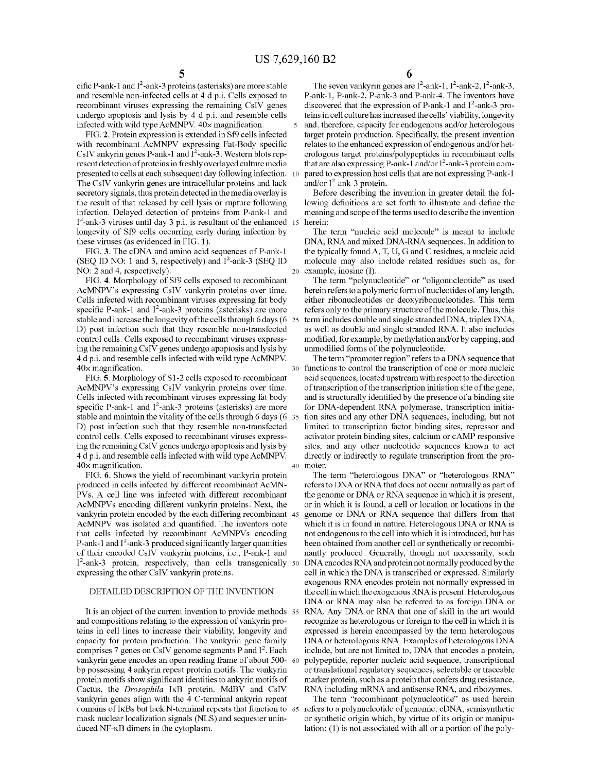cific P-ank-1 and  $I^2$ -ank-3 proteins (asterisks) are more stable and resemble non-infected cells at 4 d p.i. Cells exposed to recombinant viruses expressing the remaining CsiV genes undergo apoptosis and lysis by 4 d p.i. and resemble cells infected with wild type AcMNPV. 40x magnification.

FIG. 2. Protein expression is extended in Sf9 cells infected with recombinant AcMNPV expressing Fat-Body specific CsIV ankyrin genes P-ank-1 and  $I^2$ -ank-3. Western blots represent detection of proteins in freshly overlayed culture media presented to cells at each subsequent day following infection. The CsiV vankyrin genes are intracellular proteins and lack secretory signals, thus protein detected in the media overlay is the result of that released by cell lysis or rupture following infection. Delayed detection of proteins from P-ank-1 and I 2 -ank-3 viruses until day 3 p.i. is resultant of the enhanced longevity of Sf9 cells occurring early during infection by these viruses (as evidenced in FIG. 1).

FIG. 3. The cDNA and amino acid sequences of P-ank-1 (SEQ ID NO: 1 and 3, respectively) and  $I^2$ -ank-3 (SEQ ID NO: 2 and 4, respectively).

FIG. 4. Morphology of Sf9 cells exposed to recombinant AcMNPV's expressing CsiV vankyrin proteins over time. Cells infected with recombinant viruses expressing fat body specific P-ank-1 and  $I^2$ -ank-3 proteins (asterisks) are more stable and increase the longevity of the cells through 6 days  $(6\;25)$ D) post infection such that they resemble non-transfected control cells. Cells exposed to recombinant viruses expressing the remaining CsiV genes undergo apoptosis and lysis by 4 d p.i. and resemble cells infected with wild type AcMNPV. 40x magnification.

FIG. 5. Morphology of S1-2 cells exposed to recombinant AcMNPV's expressing CsiV vankyrin proteins over time. Cells infected with recombinant viruses expressing fat body specific P-ank-1 and  $I^2$ -ank-3 proteins (asterisks) are more stable and maintain the vitality of the cells through 6 days (6 35) D) post infection such that they resemble non-transfected control cells. Cells exposed to recombinant viruses expressing the remaining CsiV genes undergo apoptosis and lysis by 4 d p.i. and resemble cells infected with wild type AcMNPV. 40x magnification.

FIG. 6. Shows the yield of recombinant vankyrin protein produced in cells infected by different recombinant AcMN-PVs. A cell line was infected with different recombinant AcMNPVs encoding different vankyrin proteins. Next, the vankyrin protein encoded by the each differing recombinant 45 AcMNPV was isolated and quantified. The inventors note that cells infected by recombinant AcMNPVs encoding P-ank-1 and  $I^2$ -ank-3 produced significantly larger quantities of their encoded CsIV vankyrin proteins, i.e., P-ank-1 and I<sup>2</sup>-ank-3 protein, respectively, than cells transgenically expressing the other CsiV vankyrin proteins.

### DETAILED DESCRIPTION OF THE INVENTION

It is an object of the current invention to provide methods 55 and compositions relating to the expression of vankyrin proteins in cell lines to increase their viability, longevity and capacity for protein production. The vankyrin gene family comprises 7 genes on CsIV genome segments P and I<sup>2</sup>. Each vankyrin gene encodes an open reading frame of about 500 bp possessing 4 ankyrin repeat protein motifs. The vankyrin protein motifs show significant identities to ankyrin motifs of Cactus, the *Drosophila* IKB protein. MdBV and CsiV vankyrin genes align with the 4 C-terminal ankyrin repeat domains of IKBs but lack N-terminal repeats that function to mask nuclear localization signals (NLS) and sequester uninduced NF -KB dimers in the cytoplasm.

The seven vankyrin genes are  $I^2$ -ank-1,  $I^2$ -ank-2,  $I^2$ -ank-3, P-ank-1, P-ank-2, P-ank-3 and P-ank-4. The inventors have discovered that the expression of P-ank-1 and  $I^2$ -ank-3 proteins in cell culture has increased the cells' viability, longevity and, therefore, capacity for endogenous and/or heterologous target protein production. Specifically, the present invention relates to the enhanced expression of endogenous and/or heterologous target proteins/polypeptides in recombinant cells that are also expressing P-ank-1 and/or  $I^2$ -ank-3 protein compared to expression host cells that are not expressing P-ank-1 and/or  $I^2$ -ank-3 protein.

Before describing the invention in greater detail the following definitions are set forth to illustrate and define the meaning and scope of the terms used to describe the invention herein:

The term "nucleic acid molecule" is meant to include DNA, RNA and mixed DNA-RNA sequences. In addition to the typically found A, T, U, G and C residues, a nucleic acid molecule may also include related residues such as, for 20 example, inosine (I).

The term "polynucleotide" or "oligonucleotide" as used herein refers to a polymeric form of nucleotides of any length, either ribonucleotides or deoxyribonucleotides. This term refers only to the primary structure of the molecule. Thus, this term includes double and single stranded DNA, triplex DNA, as well as double and single stranded RNA. It also includes modified, for example, by methylation and/or by capping, and unmodified forms of the polynucleotide.

The term "promoter region" refers to a DNA sequence that functions to control the transcription of one or more nucleic acid sequences, located upstream with respect to the direction of transcription of the transcription initiation site of the gene, and is structurally identified by the presence of a binding site for DNA-dependent RNA polymerase, transcription initiation sites and any other DNA sequences, including, but not limited to transcription factor binding sites, repressor and activator protein binding sites, calcium or cAMP responsive sites, and any other nucleotide sequences known to act directly or indirectly to regulate transcription from the pro-40 mater.

The term "heterologous DNA" or "heterologous RNA" refers to DNA or RNA that does not occur naturally as part of the genome or DNA or RNA sequence in which it is present, or in which it is found, a cell or location or locations in the genome or DNA or RNA sequence that differs from that which it is in found in nature. Heterologous DNA or RNA is not endogenous to the cell into which it is introduced, but has been obtained from another cell or synthetically or recombinantly produced. Generally, though not necessarily, such 50 DNA encodes RNA and protein not normally produced by the cell in which the DNA is transcribed or expressed. Similarly exogenous RNA encodes protein not normally expressed in the cell in which the exogenous RNA is present. Heterologous DNA or RNA may also be referred to as foreign DNA or RNA. Any DNA or RNA that one of skill in the art would recognize as heterologous or foreign to the cell in which it is expressed is herein encompassed by the term heterologous DNA or heterologous RNA. Examples of heterologous DNA include, but are not limited to, DNA that encodes a protein, polypeptide, reporter nucleic acid sequence, transcriptional or translational regulatory sequences, selectable or traceable marker protein, such as a protein that confers drug resistance, RNA including mRNA and antisense RNA, and ribozymes.

The term "recombinant polynucleotide" as used herein 65 refers to a polynucleotide of genomic, eDNA, semisynthetic or synthetic origin which, by virtue of its origin or manipulation: (1) is not associated with all or a portion of the poly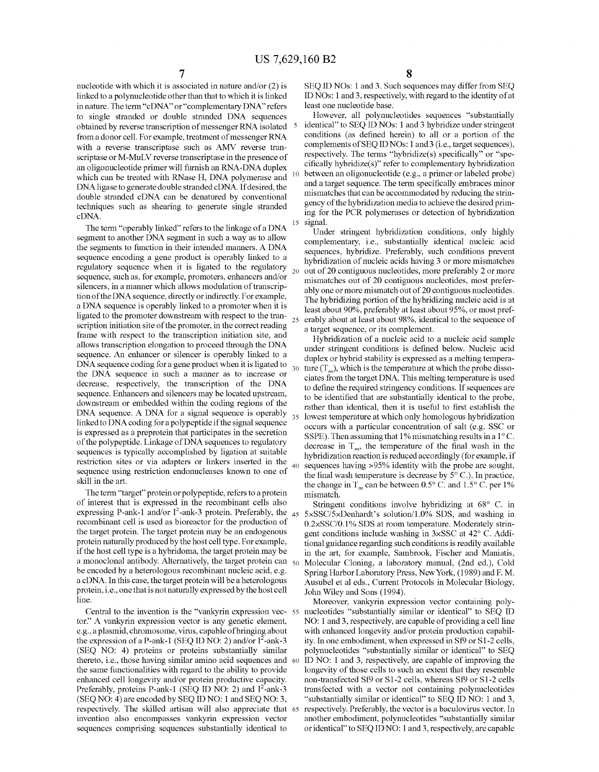nucleotide with which it is associated in nature and/or (2) is linked to a polynucleotide other than that to which it is linked in nature. The term "eDNA" or "complementary DNA" refers to single stranded or double stranded DNA sequences obtained by reverse transcription of messenger RNA isolated from a donor cell. For example, treatment of messenger RNA with a reverse transcriptase such as AMV reverse transcriptase or M-MuLV reverse transcriptase in the presence of an oligonucleotide primer will furnish an RNA-DNA duplex which can be treated with RNase H, DNA polymerase and DNA ligase to generate double stranded eDNA. If desired, the double stranded eDNA can be denatured by conventional techniques such as shearing to generate single stranded ing for the PCR polymerases or detection of hybridization eDNA.

The term "operably linked" refers to the linkage of a DNA segment to another DNA segment in such a way as to allow the segments to function in their intended manners. A DNA sequence encoding a gene product is operably linked to a regulatory sequence when it is ligated to the regulatory sequence, such as, for example, promoters, enhancers and/or silencers, in a manner which allows modulation of transcription of the DNA sequence, directly or indirectly. For example, a DNA sequence is operably linked to a promoter when it is ligated to the promoter downstream with respect to the transcription initiation site of the promoter, in the correct reading frame with respect to the transcription initiation site, and allows transcription elongation to proceed through the DNA sequence. An enhancer or silencer is operably linked to a DNA sequence coding for a gene product when it is ligated to the DNA sequence in such a manner as to increase or decrease, respectively, the transcription of the DNA sequence. Enhancers and silencers may be located upstream, downstream or embedded within the coding regions of the DNA sequence. A DNA for a signal sequence is operably linked to DNA coding for a polypeptide if the signal sequence is expressed as a preprotein that participates in the secretion of the polypeptide. Linkage of DNA sequences to regulatory sequences is typically accomplished by ligation at suitable restriction sites or via adapters or linkers inserted in the sequence using restriction endonucleases known to one of skill in the art.

The term "target" protein or polypeptide, refers to a protein of interest that is expressed in the recombinant cells also expressing P-ank-1 and/or  $I^2$ -ank-3 protein. Preferably, the  $_{45}$ recombinant cell is used as bioreactor for the production of the target protein. The target protein may be an endogenous protein naturally produced by the host cell type. For example, if the host cell type is a hybridoma, the target protein may be a monoclonal antibody. Alternatively, the target protein can  $\epsilon_0$ be encoded by a heterologous recombinant nucleic acid, e.g. a eDNA. In this case, the target protein will be a heterologous protein, i.e., one that is not naturally expressed by the host cell line.

Central to the invention is the "vankyrin expression vector." A vankyrin expression vector is any genetic element, e.g., a plasmid, chromosome, virus, capable ofbringing about the expression of a P-ank-1 (SEQ ID NO: 2) and/or  $I^2$ -ank-3 (SEQ NO: **4)** proteins or proteins substantially similar thereto, i.e., those having similar amino acid sequences and 60 the same functionalities with regard to the ability to provide enhanced cell longevity and/or protein productive capacity. Preferably, proteins P-ank-1 (SEQ ID NO: 2) and I<sup>2</sup>-ank-3 (SEQ NO: **4)** are encoded by SEQ ID NO: **1** and SEQ NO: 3, respectively. The skilled artisan will also appreciate that invention also encompasses vankyrin expression vector sequences comprising sequences substantially identical to

SEQ ID NOs: **1** and 3. Such sequences may differ from SEQ ID NOs: **1** and 3, respectively, with regard to the identity of at least one nucleotide base.

However, all polynucleotides sequences "substantially identical" to SEQ ID NOs: **1** and 3 hybridize under stringent conditions (as defined herein) to all or a portion of the complements of SEQ ID NOs: **1** and3 (i.e., target sequences), respectively. The terms "hybridize(s) specifically" or "specifically hybridize(s)" refer to complementary hybridization between an oligonucleotide (e.g., a primer or labeled probe) and a target sequence. The term specifically embraces minor mismatches that can be accommodated by reducing the stringency of the hybridization media to achieve the desired primsignal.

Under stringent hybridization conditions, only highly complementary, i.e., substantially identical nucleic acid sequences, hybridize. Preferably, such conditions prevent hybridization of nucleic acids having 3 or more mismatches 20 out of 20 contiguous nucleotides, more preferably 2 or more mismatches out of 20 contiguous nucleotides, most preferably one or more mismatch out of 20 contiguous nucleotides. The hybridizing portion of the hybridizing nucleic acid is at least about 90%, preferably at least about 95%, or most preferably about at least about 98%, identical to the sequence of a target sequence, or its complement.

Hybridization of a nucleic acid to a nucleic acid sample under stringent conditions is defined below. Nucleic acid duplex or hybrid stability is expressed as a melting temperature  $(T_m)$ , which is the temperature at which the probe dissociates from the target DNA. This melting temperature is used to define the required stringency conditions. If sequences are to be identified that are substantially identical to the probe, rather than identical, then it is useful to first establish the 35 lowest temperature at which only homologous hybridization occurs with a particular concentration of salt (e.g. SSC or SSPE). Then assuming that 1% mismatching results in a 1<sup>o</sup> C. decrease in  $T_m$ , the temperature of the final wash in the hybridization reaction is reduced accordingly (for example, if sequences having >95% identity with the probe are sought, the final wash temperature is decrease by 5° C.). In practice, the change in  $T_m$  can be between 0.5° C. and 1.5° C. per 1% mismatch.

Stringent conditions involve hybridizing at 68° C. in 45 5xSSC/5xDenhardt's solution/1.0% SDS, and washing in 0.2xSSC/0.1% SDS at room temperature. Moderately stringent conditions include washing in 3xSSC at 42° C. Additional guidance regarding such conditions is readily available in the art, for example, Sambrook, Fischer and Maniatis, 50 Molecular Cloning, a laboratory manual, (2nd ed.), Cold Spring Harbor Laboratory Press, New York, (1989) and F. M. Ausubel et a! eds., Current Protocols in Molecular Biology, John Wiley and Sons (1994).

Moreover, vankyrin expression vector containing poly-55 nucleotides "substantially similar or identical" to SEQ ID NO: **1** and 3, respectively, are capable of providing a cell line with enhanced longevity and/or protein production capability. In one embodiment, when expressed in Sf9 or S1-2 cells, polynucleotides "substantially similar or identical" to SEQ ID NO: 1 and 3, respectively, are capable of improving the longevity of those cells to such an extent that they resemble non-transfected Sf9 or S1-2 cells, whereas Sf9 or S1-2 cells transfected with a vector not containing polynucleotides "substantially similar or identical" to SEQ ID NO: **1** and 3, respectively. Preferably, the vector is a baculovirus vector. In another embodiment, polynucleotides "substantially similar or identical" to SEQ ID NO: **1** and 3, respectively, are capable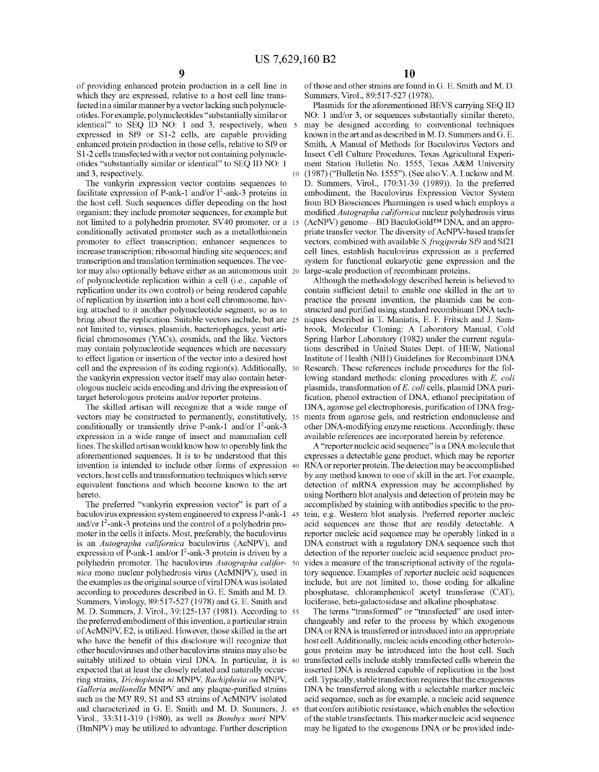of providing enhanced protein production in a cell line in which they are expressed, relative to a host cell line transfected in a similar manner by a vector lacking such polynucleotides. For example, polynucleotides "substantially similar or identical" to SEQ ID NO: 1 and 3, respectively, when 5 expressed in Sf9 or S1-2 cells, are capable providing enhanced protein production in those cells, relative to Sf9 or S 1-2 cells transfected with a vector not containing polynucleotides "substantially similar or identical" to SEQ ID NO: 1

The vankyrin expression vector contains sequences to facilitate expression of P-ank-1 and/or  $I^2$ -ank-3 proteins in the host cell. Such sequences differ depending on the host organism; they include promoter sequences, for example but not limited to a polyhedrin promoter, SV40 promoter, or a 15 conditionally activated promoter such as a metallothionein promoter to effect transcription; enhancer sequences to increase transcription; ribosomal binding site sequences; and transcription and translation termination sequences. The vector may also optionally behave either as an autonomous unit 20 of polynucleotide replication within a cell (i.e., capable of replication nnder its own control) or being rendered capable of replication by insertion into a host cell chromosome, having attached to it another polynucleotide segment, so as to bring about the replication. Suitable vectors include, but are 25 not limited to, viruses, plasmids, bacteriophages, yeast artificial chromosomes (YACs ), cosmids, and the like. Vectors may contain polynucleotide sequences which are necessary to effect ligation or insertion of the vector into a desired host cell and the expression of its coding region(s). Additionally,  $30$ the vankyrin expression vector itself may also contain heterologous nucleic acids encoding and driving the expression of target heterologous proteins and/or reporter proteins.

The skilled artisan will recognize that a wide range of vectors may be constructed to permanently, constitutively, 35 conditionally or transiently drive P-ank-1 and/or  $I^2$ -ank-3 expression in a wide range of insect and mammalian cell lines. The skilled artisan would know how to operably link the aforementioned sequences. It is to be understood that this invention is intended to include other forms of expression 40 vectors, host cells and transformation techniques which serve equivalent functions and which become known to the art hereto.

baculovirus expression system engineered to express P-ank-1 and/or  $I^2$ -ank-3 proteins und the control of a polyhedrin promoter in the cells it infects. Most, preferably, the baculovirus is an *Autographa californica* baculovirus (AcNPV), and expression of P-ank-1 and/or  $I^2$ -ank-3 protein is driven by a polyhedrin promoter. The baculovirus *Autographa californica* mono nuclear polyhedrosis virus (AcMNPV), used in the examples as the original source of viral DNA was isolated according to procedures described in G. E. Smith and M.D. Summers, Virology, 89:517-527 (1978) and G. E. Smith and M.D. Summers, J. Viral., 39:125-137 (1981). According to 55 the preferred embodiment of this invention, a particular strain of AcMNPV, E2, is utilized. However, those skilled in the art who have the benefit of this disclosure will recognize that other baculoviruses and other baculovirus strains may also be suitably utilized to obtain viral DNA. In particular, it is 60 expected that at least the closely related and naturally occurring strains, *Trichoplusia ni* MNP\1, *Rachiplusia au* MNP\1, *Galleria mellonella* MNPV and any plaque-purified strains such as the M3' R9, S1 and S3 strains of AcMNPV isolated and characterized in G. E. Smith and M. D. Summers, J. Viral., 33:311-319 (1980), as well as *Bombyx mori* NPV (BmNPV) may be utilized to advantage. Further description

of those and other strains are fonnd in G. E. Smith and M.D. Summers, Virol., 89:517-527 (1978).

Plasmids for the aforementioned BEYS carrying SEQ ID NO: 1 and/or 3, or sequences substantially similar thereto, may be designed according to conventional techniques known in the art and as described in M.D. Summers and G. E. Smith, A Manual of Methods for Baculovirus Vectors and Insect Cell Culture Procedures, Texas Agricultural Experiment Station Bulletin No. 1555, Texas A&M University and 3, respectively. 10 (1987) ("Bulletin No. 1555"). (See also V. A. Luckow and M. D. Summers, Virol., 170:31-39 (1989)). In the preferred embodiment, the Baculovirus Expression Vector System from BD Biosciences Pharmingen is used which employs a modified *Autographa californica* nuclear polyhedrosis virus (AcNPV) genome-BD BaculoGold™ DNA, and an appropriate transfer vector. The diversity of AcNPV-based transfer vectors, combined with available S. *frugiperda* Sf9 and Sf21 cell lines, establish baculovirus expression as a preferred system for functional eukaryotic gene expression and the large-scale production of recombinant proteins.

> Although the methodology described herein is believed to contain sufficient detail to enable one skilled in the art to practice the present invention, the plasmids can be constructed and purified using standard recombinant DNA techniques described in T. Maniatis, E. F. Fritsch and J. Sambrook, Molecular Cloning: A Laboratory Manual, Cold Spring Harbor Laboratory (1982) under the current regulations described in United States Dept. of HEW, National Institute of Health (NIH) Guidelines for Recombinant DNA Research. These references include procedures for the following standard methods: cloning procedures with E. *coli*  plasmids, transformation of E. *coli* cells, plasmid DNA purification, phenol extraction of DNA, ethanol precipitation of DNA, agarose gel electrophoresis, purification of DNA fragments from agarose gels, and restriction endonuclease and other DNA-modifYing enzyme reactions. Accordingly, these available references are incorporated herein by reference.

A "reporter nucleic acid sequence" is a DNA molecule that expresses a detectable gene product, which may be reporter RNA or reporter protein. The detection may be accomplished by any method known to one of skill in the art. For example, detection of mRNA expression may be accomplished by using Northern blot analysis and detection of protein may be The preferred "vankyrin expression vector" is part of a accomplished by staining with antibodies specific to the protein, e.g. Western blot analysis. Preferred reporter nucleic acid sequences are those that are readily detectable. A reporter nucleic acid sequence may be operably linked in a DNA construct with a regulatory DNA sequence such that detection of the reporter nucleic acid sequence product provides a measure of the transcriptional activity of the regulatory sequence. Examples of reporter nucleic acid sequences include, but are not limited to, those coding for alkaline phosphatase, chloramphenicol acetyl transferase (CAT), luciferase, beta-galactosidase and alkaline phosphatase.

The terms "transformed" or "transfected" are used interchangeably and refer to the process by which exogenous DNA or RNA is transferred or introduced into an appropriate host cell. Additionally, nucleic acids encoding other heterologous proteins may be introduced into the host cell. Such transfected cells include stably transfected cells wherein the inserted DNA is rendered capable of replication in the host cell. Typically, stable transfection requires that the exogenous DNA be transferred along with a selectable marker nucleic acid sequence, such as for example, a nucleic acid sequence that confers antibiotic resistance, which enables the selection of the stable transfectants. This marker nucleic acid sequence may be ligated to the exogenous DNA or be provided inde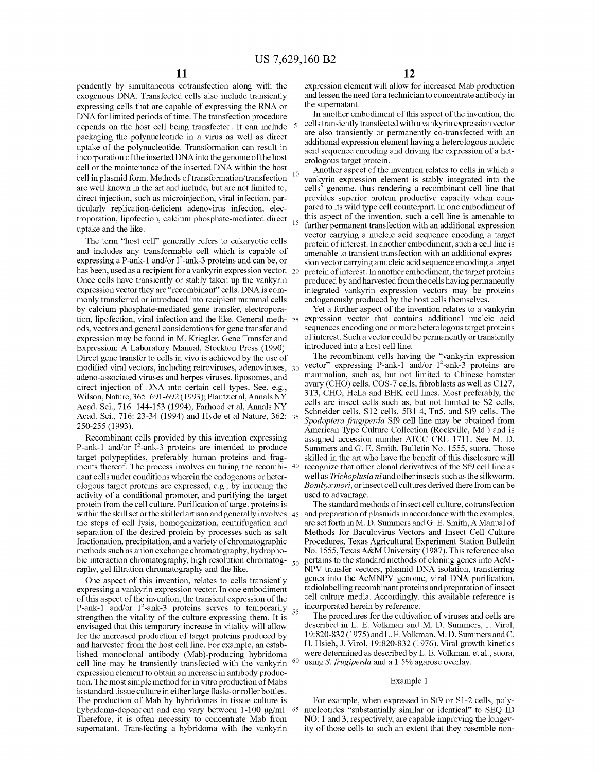pendently by simultaneous cotransfection along with the exogenous DNA. Transfected cells also include transiently expressing cells that are capable of expressing the RNA or DNA for limited periods of time. The transfection procedure depends on the host cell being transfected. It can include packaging the polynucleotide in a virus as well as direct uptake of the polynucleotide. Transformation can result in incorporation of the inserted DNA into the genome of the host cell or the maintenance of the inserted DNA within the host cell in plasmid form. Methods of transformation/transfection are well known in the art and include, but are not limited to, direct injection, such as microinjection, viral infection, particularly replication-deficient adenovirus infection, electroporation, lipofection, calcium phosphate-mediated direct uptake and the like.

The term "host cell" generally refers to eukaryotic cells and includes any transformable cell which is capable of expressing a P-ank-1 and/or  $I^2$ -ank-3 proteins and can be, or has been, used as a recipient for a vankyrin expression vector. 20 Once cells have transiently or stably taken up the vankyrin expression vector they are "recombinant" cells. DNA is commonly transferred or introduced into recipient mammal cells by calcium phosphate-mediated gene transfer, electroporation, lipofection, viral infection and the like. General meth- 25 ods, vectors and general considerations for gene transfer and expression may be found in M. Kriegler, Gene Transfer and Expression: A Laboratory Manual, Stockton Press (1990). Direct gene transfer to cells in vivo is achieved by the use of modified viral vectors, including retroviruses, adenoviruses, 30 adena-associated viruses and herpes viruses, liposomes, and direct injection of DNA into certain cell types. See, e.g., Wilson, Nature, 365: 691-692 (1993); Plautz et al,Annals NY Acad. Sci., 716: 144-153 (1994); Farhood et al, Annals NY Acad. Sci., 716: 23-34 (1994) and Hyde et al Nature, 362: 35 250-255 (1993).

Recombinant cells provided by this invention expressing P-ank-1 and/or I<sup>2</sup>-ank-3 proteins are intended to produce target polypeptides, preferably human proteins and fragments thereof. The process involves culturing the recombi- 40 nant cells under conditions wherein the endogenous or heterologous target proteins are expressed, e.g., by inducing the activity of a conditional promoter, and purifying the target protein from the cell culture. Purification of target proteins is within the skill set or the skilled artisan and generally involves 45 the steps of cell lysis, homogenization, centrifugation and separation of the desired protein by processes such as salt fractionation, precipitation, and a variety of chromatographic methods such as anion exchange chromatography, hydrophobic interaction chromatography, high resolution chromatog- $_{50}$ raphy, gel filtration chromatography and the like.

One aspect of this invention, relates to cells transiently expressing a vankyrin expression vector. In one embodiment of this aspect of the invention, the transient expression of the P-ank-1 and/or I<sup>2</sup>-ank-3 proteins serves to temporarily strengthen the vitality of the culture expressing them. It is envisaged that this temporary increase in vitality will allow for the increased production of target proteins produced by and harvested from the host cell line. For example, an established monoclonal antibody (Mab)-producing hybridoma cell line may be transiently transfected with the vankyrin expression element to obtain an increase in antibody production. The most simple method for in vitro production of Mabs is standard tissue culture in either large flasks or roller bottles. The production of Mab by hybridomas in tissue culture is hybridoma-dependent and can vary between  $1-100 \mu g/ml$ . 65 Therefore, it is often necessity to concentrate Mab from supernatant. Transfecting a hybridoma with the vankyrin

expression element will allow for increased Mab production and lessen the need for a technician to concentrate antibody in the supernatant.

In another embodiment of this aspect of the invention, the cells transiently transfected with a vankyrin expression vector are also transiently or permanently co-transfected with an additional expression element having a heterologous nucleic acid sequence encoding and driving the expression of a heterologous target protein.

Another aspect of the invention relates to cells in which a vankyrin expression element is stably integrated into the cells' genome, thus rendering a recombinant cell line that provides superior protein productive capacity when compared to its wild type cell counterpart. In one embodiment of this aspect of the invention, such a cell line is amenable to further permanent transfection with an additional expression vector carrying a nucleic acid sequence encoding a target protein of interest. In another embodiment, such a cell line is amenable to transient transfection with an additional expression vector carrying a nucleic acid sequence encoding a target protein of interest. In another embodiment, the target proteins produced by and harvested from the cells having permanently integrated vankyrin expression vectors may be proteins endogenously produced by the host cells themselves.

Yet a further aspect of the invention relates to a vankyrin expression vector that contains additional nucleic acid sequences encoding one or more heterologous target proteins of interest. Such a vector could be permanently or transiently introduced into a host cell line.

The recombinant cells having the "vankyrin expression vector" expressing P-ank-1 and/or  $I^2$ -ank-3 proteins are mammalian, such as, but not limited to Chinese hamster ovary (CHO) cells, COS-7 cells, fibroblasts as well as C127, 3T3, CHO, HeLa and BHK cell lines. Most preferably, the cells are insect cells such as, but not limited to S2 cells, Schneider cells, S12 cells, 5B1-4, Tn5, and Sf9 cells. The *Spodoptera frugiperda* Sf9 cell line may be obtained from American Type Culture Collection (Rockville, Md.) and is assigned accession number ATCC CRL 1711. See M. D. Summers and G. E. Smith, Bulletin No. 1555, suora. Those skilled in the art who have the benefit of this disclosure will recognize that other clonal derivatives of the Sf9 cell line as well as *Trichoplusia ni* and other insects such as the silkworm, *Bombyx mori,* or insect cell cultures derived there from can be used to advantage.

The standard methods of insect cell culture, cotransfection and preparation of plasmids in accordance with the examples, are set forth in M. D. Summers and G. E. Smith, A Manual of Methods for Baculovirus Vectors and Insect Cell Culture Procedures, Texas Agricultural Experiment Station Bulletin No. 1555, TexasA&M University (1987). This reference also pertains to the standard methods of cloning genes into AcM-NPV transfer vectors, plasmid DNA isolation, transferring genes into the AcMNPV genome, viral DNA purification, radio labelling recombinant proteins and preparation of insect cell culture media. Accordingly, this available reference is incorporated herein by reference. 55 The procedures for the cultivation of viruses and cells are

described in L. E. Volkman and M. D. Summers, J. Virol, 19:820-832 (1975) andL. E. Volkman, M.D. Summers and C. H. Hsieh, J. Viral, 19:820-832 (1976). Viral growth kinetics were determined as described by L. E. Volkman, et al., suora, 60 using S. *frugiperda* and a 1.5% agarose overlay.

#### Example 1

For example, when expressed in Sf9 or S1-2 cells, polynucleotides "substantially similar or identical" to SEQ ID NO: 1 and 3, respectively, are capable improving the longevity of those cells to such an extent that they resemble non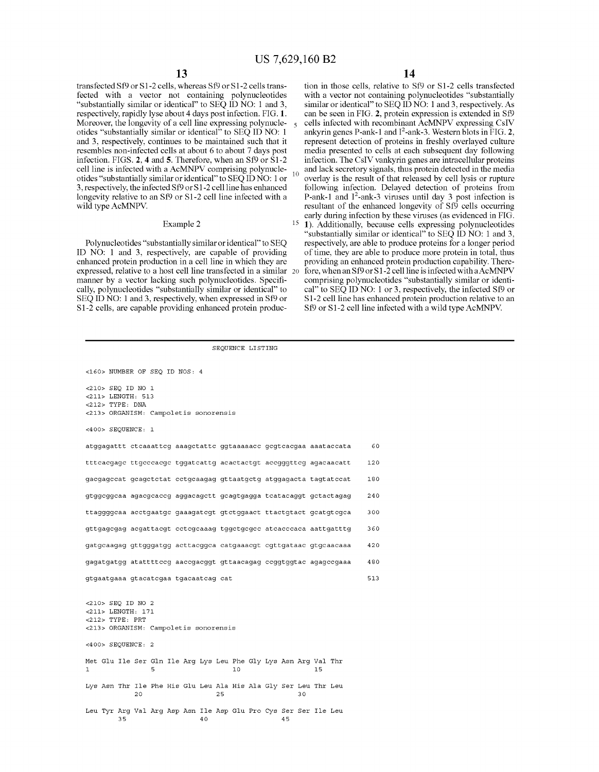transfected Sf9 or S1-2 cells, whereas Sf9 or S1-2 cells transfected with a vector not containing polynucleotides "substantially similar or identical" to SEQ ID NO: 1 and 3, respectively, rapidly lyse about 4 days post infection. FIG. **1.**  Moreover, the longevity of a cell line expressing polynucleotides "substantially similar or identical" to SEQ ID NO: 1 and 3, respectively, continues to be maintained such that it resembles non-infected cells at about 6 to about 7 days post infection. FIGS. **2, 4 and 5.** Therefore, when an Sf9 or S1-2 cell line is infected with a AcMNPV comprising polynucleotides "substantially similar or identical" to SEQ ID NO: 1 or 3, respectively, the infected Sf9 or S1-2 cell line has enhanced longevity relative to an Sf9 or S1-2 cell line infected with a wild type AcMNPV.

### Example 2

Polynucleotides "substantially similar or identical" to SEQ ID NO: 1 and 3, respectively, are capable of providing enhanced protein production in a cell line in which they are expressed, relative to a host cell line transfected in a similar manner by a vector lacking such polynucleotides. Specifically, polynucleotides "substantially similar or identical" to SEQ ID NO: 1 and 3, respectively, when expressed in Sf9 or S1-2 cells, are capable providing enhanced protein produc-

tion in those cells, relative to Sf9 or S1-2 cells transfected with a vector not containing polynucleotides "substantially similar or identical" to SEQ ID NO: 1 and 3, respectively. As can be seen in FIG. **2,** protein expression is extended in Sf9 cells infected with recombinant AcMNPV expressing CsiV ankyrin genes P-ank-1 and I <sup>2</sup> -ank-3. Western blots in FIG. **2,**  represent detection of proteins in freshly overlayed culture media presented to cells at each subsequent day following infection. The CsiV vankyrin genes are intracellular proteins  $10$  and lack secretory signals, thus protein detected in the media overlay is the result of that released by cell lysis or rupture following infection. Delayed detection of proteins from P-ank-1 and I 2 -ank-3 viruses until day 3 post infection is resultant of the enhanced longevity of Sf9 cells occurring early during infection by these viruses (as evidenced in FIG. 15 **1).** Additionally, because cells expressing polynucleotides

"substantially similar or identical" to SEQ ID NO: 1 and 3, respectively, are able to produce proteins for a longer period of time, they are able to produce more protein in total, thus providing an enhanced protein production capability. Therefore, when an Sf9 or S1-2 cell line is infected with a AcMNPV comprising polynucleotides "substantially similar or identical" to SEQ ID NO: 1 or 3, respectively, the infected Sf9 or S 1-2 cell line has enhanced protein production relative to an Sf9 or S1-2 cell line infected with a wild type AcMNPV.

| <160> NUMBER OF SEQ ID NOS: 4                                                     |     |
|-----------------------------------------------------------------------------------|-----|
| <210> SEO ID NO 1<br><211> LENGTH: 513                                            |     |
| $<$ 212> TYPE: DNA                                                                |     |
| <213> ORGANISM: Campoletis sonorensis                                             |     |
| <400> SEQUENCE: 1                                                                 |     |
| atggagattt ctcaaattcg aaagctattc ggtaaaaacc gcgtcacgaa aaataccata                 | 60  |
| tttcacgagc ttgcccacgc tggatcattg acactactgt accgggttcg agacaacatt                 | 120 |
| gacgagccat gcagctctat cctgcaagag gttaatgctg atggagacta tagtatccat                 | 180 |
| gtggcggcaa agacgcaccg aggacagctt gcagtgagga tcatacaggt gctactagag                 | 240 |
| ttaggggcaa acctgaatgc gaaagategt gtetggaact ttactgtact gcatgtegca                 | 300 |
| gttgagegag aegattaegt eetegeaaag tggetgegee ateaeeeaea aattgatttg                 | 360 |
| gatgcaagag gttgggatgg acttacggca catgaaacgt cgttgataac gtgcaacaaa                 | 420 |
| gagatgatgg atattttccg aaccgacggt gttaacagag ccggtggtac agagccgaaa                 | 480 |
| gtgaatgaaa gtacatcgaa tgacaatcag cat                                              | 513 |
|                                                                                   |     |
| <210> SEQ ID NO 2<br><211> LENGTH: 171                                            |     |
| <212> TYPE: PRT                                                                   |     |
| <213> ORGANISM: Campoletis sonorensis                                             |     |
| <400> SEQUENCE: 2                                                                 |     |
| Met Glu Ile Ser Gln Ile Arg Lys Leu Phe Gly Lys Asn Arg Val Thr                   |     |
| 5<br>10<br>15<br>1                                                                |     |
| Lys Asn Thr Ile Phe His Glu Leu Ala His Ala Gly Ser Leu Thr Leu<br>20<br>25<br>30 |     |
|                                                                                   |     |
| Leu Tyr Arq Val Arq Asp Asn Ile Asp Glu Pro Cys Ser Ser Ile Leu<br>35<br>45<br>40 |     |

SEQUENCE LISTING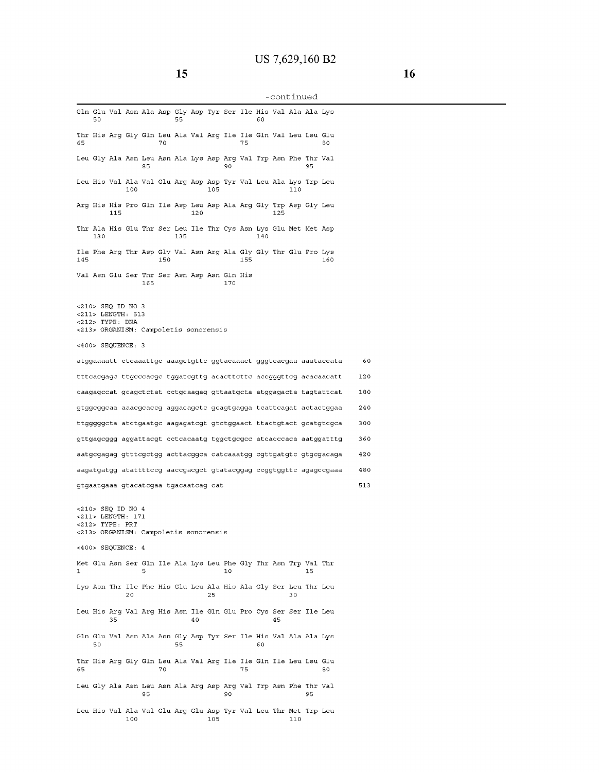**15** 

# -continued

| Gln Glu Val Asn Ala Asp Gly Asp Tyr Ser Ile His Val Ala Ala Lys                                                         | 50  |     |     |     |     | 55  |     |     |     |     | 60  |     |     |    |                                                                   |     |  |
|-------------------------------------------------------------------------------------------------------------------------|-----|-----|-----|-----|-----|-----|-----|-----|-----|-----|-----|-----|-----|----|-------------------------------------------------------------------|-----|--|
| Thr His Arg Gly Gln Leu Ala Val Arg Ile Ile Gln Val Leu Leu Glu<br>65                                                   |     |     |     |     | 70  |     |     |     |     | 75  |     |     |     |    | 80                                                                |     |  |
| Leu Gly Ala Asn Leu Asn Ala Lys Asp Arq Val Trp Asn Phe Thr Val                                                         |     |     |     | 85  |     |     |     |     | 90  |     |     |     |     | 95 |                                                                   |     |  |
| Leu His Val Ala Val Glu Arg Asp Asp Tyr Val Leu Ala Lys Trp Leu                                                         |     |     | 100 |     |     |     |     | 105 |     |     |     |     | 110 |    |                                                                   |     |  |
| Arg His His Pro Gln Ile Asp Leu Asp Ala Arg Gly Trp Asp Gly Leu                                                         |     | 115 |     |     |     |     | 120 |     |     |     |     | 125 |     |    |                                                                   |     |  |
| Thr Ala His Glu Thr Ser Leu Ile Thr Cys Asn Lys Glu Met Met Asp                                                         | 130 |     |     |     |     | 135 |     |     |     |     | 140 |     |     |    |                                                                   |     |  |
| Ile Phe Arg Thr Asp Gly Val Asn Arg Ala Gly Gly Thr Glu Pro Lys<br>145                                                  |     |     |     |     | 150 |     |     |     |     | 155 |     |     |     |    | 160                                                               |     |  |
| Val Asn Glu Ser Thr Ser Asn Asp Asn Gln His                                                                             |     |     |     | 165 |     |     |     |     | 170 |     |     |     |     |    |                                                                   |     |  |
| <210> SEQ ID NO 3<br><211> LENGTH: 513<br><212> TYPE: DNA<br><213> ORGANISM: Campoletis sonorensis<br><400> SEQUENCE: 3 |     |     |     |     |     |     |     |     |     |     |     |     |     |    |                                                                   |     |  |
|                                                                                                                         |     |     |     |     |     |     |     |     |     |     |     |     |     |    | atggaaaatt ctcaaattgc aaagctgttc ggtacaaact gggtcacgaa aaataccata | 60  |  |
|                                                                                                                         |     |     |     |     |     |     |     |     |     |     |     |     |     |    | tttcacgage ttgcccacge tggategttg acacttette acegggtteg acacaacatt | 120 |  |
|                                                                                                                         |     |     |     |     |     |     |     |     |     |     |     |     |     |    | caagagccat gcagctctat cctgcaagag gttaatgcta atggagacta tagtattcat | 180 |  |
|                                                                                                                         |     |     |     |     |     |     |     |     |     |     |     |     |     |    | gtggcggcaa aaacgcaccg aggacagctc gcagtgagga tcattcagat actactggaa | 240 |  |
|                                                                                                                         |     |     |     |     |     |     |     |     |     |     |     |     |     |    | ttggggggta atctgaatgc aagagategt gtetggaact ttactgtact gcatgtegca | 300 |  |
|                                                                                                                         |     |     |     |     |     |     |     |     |     |     |     |     |     |    | gttgagcggg aggattacgt cctcacaatg tggctgcgcc atcacccaca aatggatttg | 360 |  |
|                                                                                                                         |     |     |     |     |     |     |     |     |     |     |     |     |     |    | aatgcgagag gtttcgctgg acttacggca catcaaatgg cgttgatgtc gtgcgacaga | 420 |  |
|                                                                                                                         |     |     |     |     |     |     |     |     |     |     |     |     |     |    | aagatgatgg atattttccg aaccgacgct gtatacggag ccggtggttc agagccgaaa | 480 |  |
| gtgaatgaaa gtacatcgaa tgacaatcag cat                                                                                    |     |     |     |     |     |     |     |     |     |     |     |     |     |    |                                                                   | 513 |  |
| <210> SEQ ID NO 4<br><211> LENGTH: 171<br><212> TYPE: PRT<br><213> ORGANISM: Campoletis sonorensis                      |     |     |     |     |     |     |     |     |     |     |     |     |     |    |                                                                   |     |  |
| <400> SEQUENCE: 4                                                                                                       |     |     |     |     |     |     |     |     |     |     |     |     |     |    |                                                                   |     |  |
| Met Glu Asn Ser Gln Ile Ala Lys Leu Phe Gly Thr Asn Trp Val Thr<br>1                                                    |     |     |     | 5   |     |     |     |     | 10  |     |     |     |     | 15 |                                                                   |     |  |
| Lys Asn Thr Ile Phe His Glu Leu Ala His Ala Gly Ser Leu Thr Leu                                                         |     |     | 20  |     |     |     |     | 25  |     |     |     |     | 30  |    |                                                                   |     |  |
| Leu His Arg Val Arg His Asn Ile Gln Glu Pro Cys Ser Ser Ile Leu                                                         |     | 35  |     |     |     |     | 40  |     |     |     |     | 45  |     |    |                                                                   |     |  |
| Gln Glu Val Asn Ala Asn Gly Asp Tyr Ser Ile His Val Ala Ala Lys                                                         | 50  |     |     |     |     | 55  |     |     |     |     | 60  |     |     |    |                                                                   |     |  |
| Thr His Arg Gly Gln Leu Ala Val Arg Ile Ile Gln Ile Leu Leu Glu<br>65                                                   |     |     |     |     | 70  |     |     |     |     | 75  |     |     |     |    | 80                                                                |     |  |
| Leu Gly Ala Asn Leu Asn Ala Arg Asp Arg Val Trp Asn Phe Thr Val                                                         |     |     |     | 85  |     |     |     |     | 90  |     |     |     |     | 95 |                                                                   |     |  |
| Leu His Val Ala Val Glu Arg Glu Asp Tyr Val Leu Thr Met Trp Leu                                                         |     |     | 100 |     |     |     |     | 105 |     |     |     |     | 110 |    |                                                                   |     |  |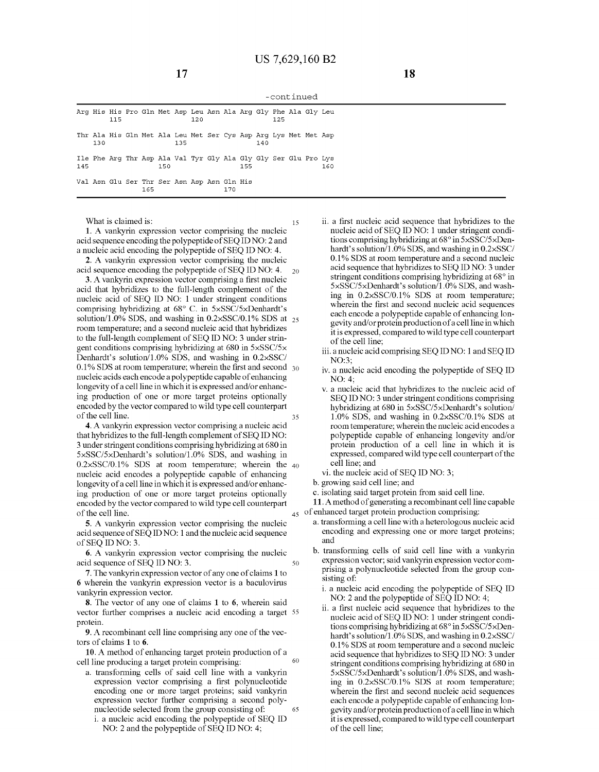-continued

|     |     | 115 |     |     | Arq His His Pro Gln Met Asp Leu Asn Ala Arq Gly Phe Ala Gly Leu        | 120 |     |     |     | 125 |  |     |
|-----|-----|-----|-----|-----|------------------------------------------------------------------------|-----|-----|-----|-----|-----|--|-----|
|     | 130 |     |     |     | Thr Ala His Gln Met Ala Leu Met Ser Cys Asp Arg Lys Met Met Asp<br>135 |     |     |     | 140 |     |  |     |
| 145 |     |     |     | 150 | Ile Phe Arg Thr Asp Ala Val Tyr Gly Ala Gly Gly Ser Glu Pro Lys        |     |     | 155 |     |     |  | 160 |
|     |     |     | 165 |     | Val Asn Glu Ser Thr Ser Asn Asp Asn Gln His                            |     | 170 |     |     |     |  |     |

15

50

What is claimed is:

**1.** A vankyrin expression vector comprising the nucleic acid sequence encoding the polypeptide of SEQ ID NO: 2 and a nucleic acid encoding the polypeptide of SEQ ID NO: **4.** 

**2.** A vankyrin expression vector comprising the nucleic acid sequence encoding the polypeptide of SEQ ID NO: **4.**  20

**3.** A vankyrin expression vector comprising a first nucleic acid that hybridizes to the full-length complement of the nucleic acid of SEQ ID NO: **1** under stringent conditions comprising hybridizing at 68° C. in 5xSSC/5xDenhardt's solution/1.0% SDS, and washing in  $0.2 \times$ SSC/0.1% SDS at  $_{25}$ room temperature; and a second nucleic acid that hybridizes to the full-length complement of SEQ ID NO: 3 under stringent conditions comprising hybridizing at 680 in 5xSSC/5x Denhardt's solution/1.0% SDS, and washing in 0.2xSSC/ **0.1%** SDS at room temperature; wherein the first and second 30 nucleic acids each encode a polypeptide capable of enhancing longevity of a cell line in which it is expressed and/or enhancing production of one or more target proteins optionally encoded by the vector compared to wild type cell counterpart of the cell line. 35

**4.** A vankyrin expression vector comprising a nucleic acid that hybridizes to the full-length complement of SEQ ID NO: 3 under stringent conditions comprising hybridizing at 680 in 5xSSC/5xDenhardt's solution/1.0% SDS, and washing in  $0.2 \times$ SSC/0.1% SDS at room temperature; wherein the  $40$ nucleic acid encodes a polypeptide capable of enhancing longevity of a cell line in which it is expressed and/or enhancing production of one or more target proteins optionally encoded by the vector compared to wild type cell counterpart **11.** A method of generating a recombinant cell line capable of the cell line.

**5.** A vankyrin expression vector comprising the nucleic acid sequence of SEQ ID NO: **1** and the nucleic acid sequence of SEQ ID NO: 3.

**6.** A vankyrin expression vector comprising the nucleic acid sequence of SEQ ID NO: 3.

**7.** The vankyrin expression vector of any one of claims **1** to **6** wherein the vankyrin expression vector is a baculovirus vankyrin expression vector.

**8.** The vector of any one of claims **1 to 6,** wherein said vector further comprises a nucleic acid encoding a target 55 protein.

**9.** A recombinant cell line comprising any one of the vectors of claims **1 to 6.** 

**10.** A method of enhancing target protein production of a cell line producing a target protein comprising: 60

- a. transforming cells of said cell line with a vankyrin expression vector comprising a first polynucleotide encoding one or more target proteins; said vankyrin expression vector further comprising a second polynucleotide selected from the group consisting of: 65
	- i. a nucleic acid encoding the polypeptide of SEQ ID NO: 2 and the polypeptide of SEQ ID NO: **4;**
- ii. a first nucleic acid sequence that hybridizes to the nucleic acid of SEQ ID NO: **1** under stringent conditions comprising hybridizing at 68° in 5xSSC/5xDenhardt's solution/1.0% SDS, and washing in 0.2xSSC/ **0.1%** SDS at room temperature and a second nucleic acid sequence that hybridizes to SEQ ID NO: 3 under stringent conditions comprising hybridizing at 68° in 5xSSC/5xDenhardt's solution/1.0% SDS, and washing in 0.2xSSC/0.1% SDS at room temperature; wherein the first and second nucleic acid sequences each encode a polypeptide capable of enhancing longevity and/or protein production of a cell line in which it is expressed, compared to wild type cell counterpart of the cell line;
- iii. a nucleic acid comprising SEQ ID NO: **1** and SEQ ID N0:3;
- iv. a nucleic acid encoding the polypeptide of SEQ ID N0:4;
- v. a nucleic acid that hybridizes to the nucleic acid of SEQ ID NO: 3 under stringent conditions comprising hybridizing at 680 in 5xSSC/5xDenhardt's solution/ 1.0% SDS, and washing in 0.2xSSC/0.1% SDS at room temperature; wherein the nucleic acid encodes a polypeptide capable of enhancing longevity and/or protein production of a cell line in which it is expressed, compared wild type cell counterpart of the cell line; and
- vi. the nucleic acid of SEQ ID NO: 3;
- b. growing said cell line; and
- c. isolating said target protein from said cell line.
- $_{45}$  of enhanced target protein production comprising:
	- a. transforming a cell line with a heterologous nucleic acid encoding and expressing one or more target proteins; and
	- b. transforming cells of said cell line with a vankyrin expression vector; said vankyrin expression vector comprising a polynucleotide selected from the group consisting of:
		- i. a nucleic acid encoding the polypeptide of SEQ ID NO: 2 and the polypeptide of SEQ ID NO: **4;**
		- ii. a first nucleic acid sequence that hybridizes to the nucleic acid of SEQ ID NO: **1** under stringent conditions comprising hybridizing at  $68^\circ$  in  $5 \times$ SSC/5 $\times$ Denhardt's solution/1.0% SDS, and washing in 0.2xSSC/ **0.1%** SDS at room temperature and a second nucleic acid sequence that hybridizes to SEQ ID NO: 3 under stringent conditions comprising hybridizing at 680 in 5xSSC/5xDenhardt's solution/1.0% SDS, and washing in 0.2xSSC/0.1% SDS at room temperature; wherein the first and second nucleic acid sequences each encode a polypeptide capable of enhancing longevity and/or protein production of a cell line in which it is expressed, compared to wild type cell counterpart of the cell line;